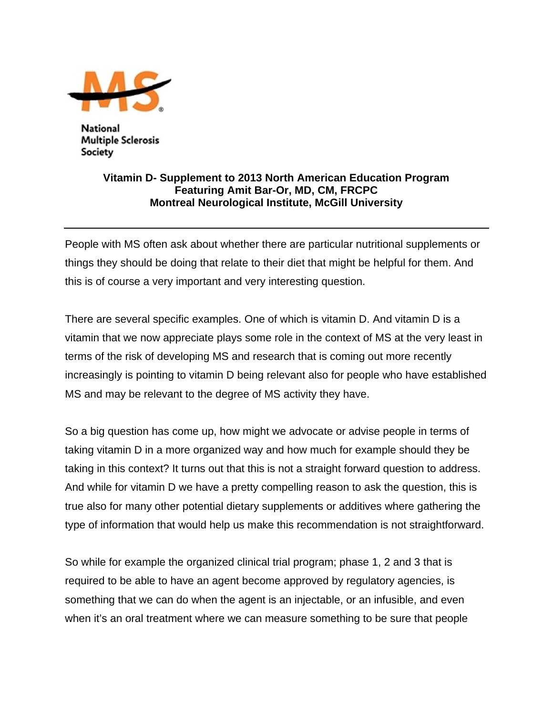

National Multiple Sclerosis Society

## **Vitamin D- Supplement to 2013 North American Education Program Featuring Amit Bar-Or, MD, CM, FRCPC Montreal Neurological Institute, McGill University**

People with MS often ask about whether there are particular nutritional supplements or things they should be doing that relate to their diet that might be helpful for them. And this is of course a very important and very interesting question.

There are several specific examples. One of which is vitamin D. And vitamin D is a vitamin that we now appreciate plays some role in the context of MS at the very least in terms of the risk of developing MS and research that is coming out more recently increasingly is pointing to vitamin D being relevant also for people who have established MS and may be relevant to the degree of MS activity they have.

So a big question has come up, how might we advocate or advise people in terms of taking vitamin D in a more organized way and how much for example should they be taking in this context? It turns out that this is not a straight forward question to address. And while for vitamin D we have a pretty compelling reason to ask the question, this is true also for many other potential dietary supplements or additives where gathering the type of information that would help us make this recommendation is not straightforward.

So while for example the organized clinical trial program; phase 1, 2 and 3 that is required to be able to have an agent become approved by regulatory agencies, is something that we can do when the agent is an injectable, or an infusible, and even when it's an oral treatment where we can measure something to be sure that people